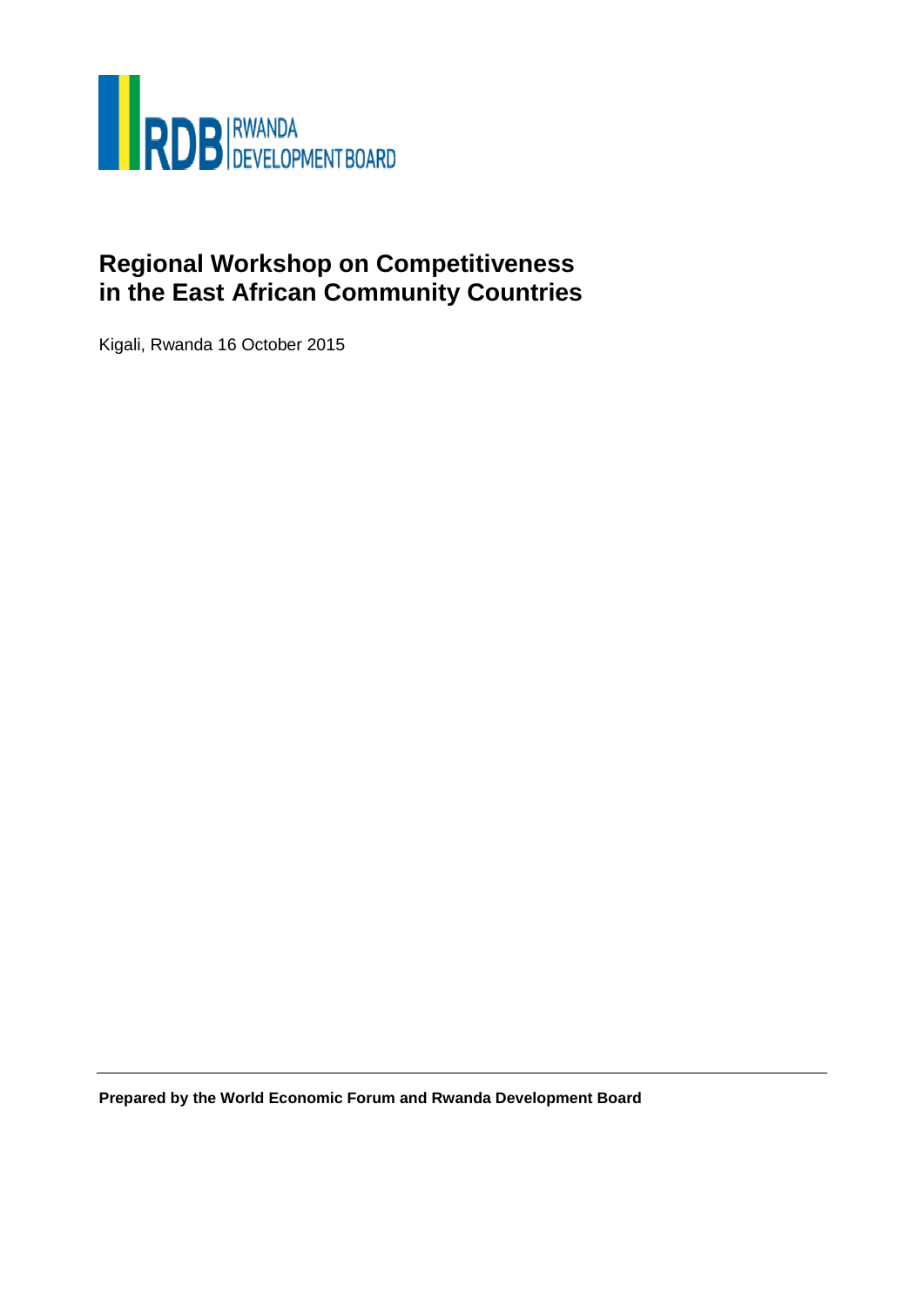

# **Regional Workshop on Competitiveness in the East African Community Countries**

Kigali, Rwanda 16 October 2015

**Prepared by the World Economic Forum and Rwanda Development Board**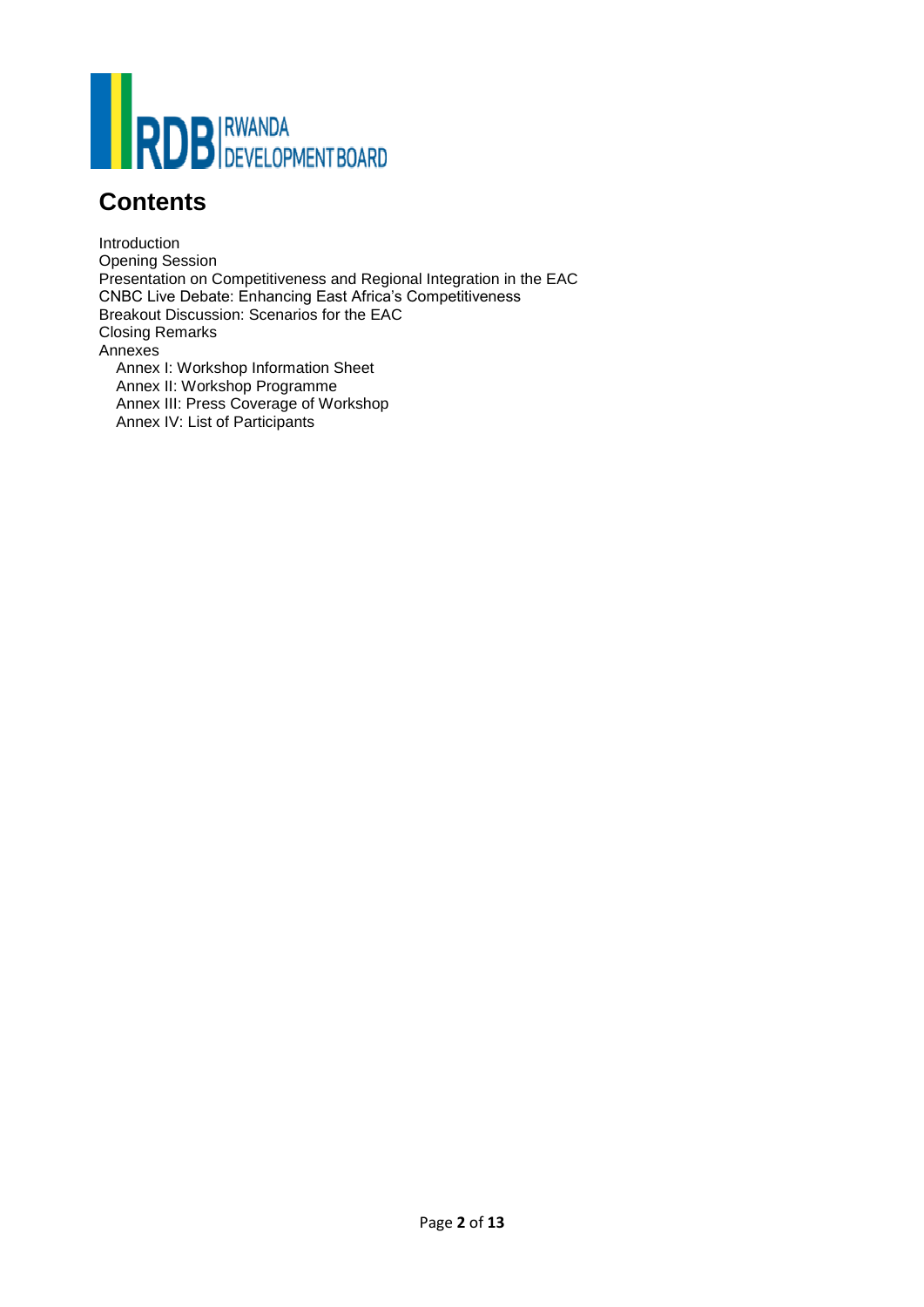

# **Contents**

Introduction Opening Session Presentation on Competitiveness and Regional Integration in the EAC CNBC Live Debate: Enhancing East Africa's Competitiveness Breakout Discussion: Scenarios for the EAC Closing Remarks Annexes Annex I: Workshop Information Sheet Annex II: Workshop Programme Annex III: Press Coverage of Workshop Annex IV: List of Participants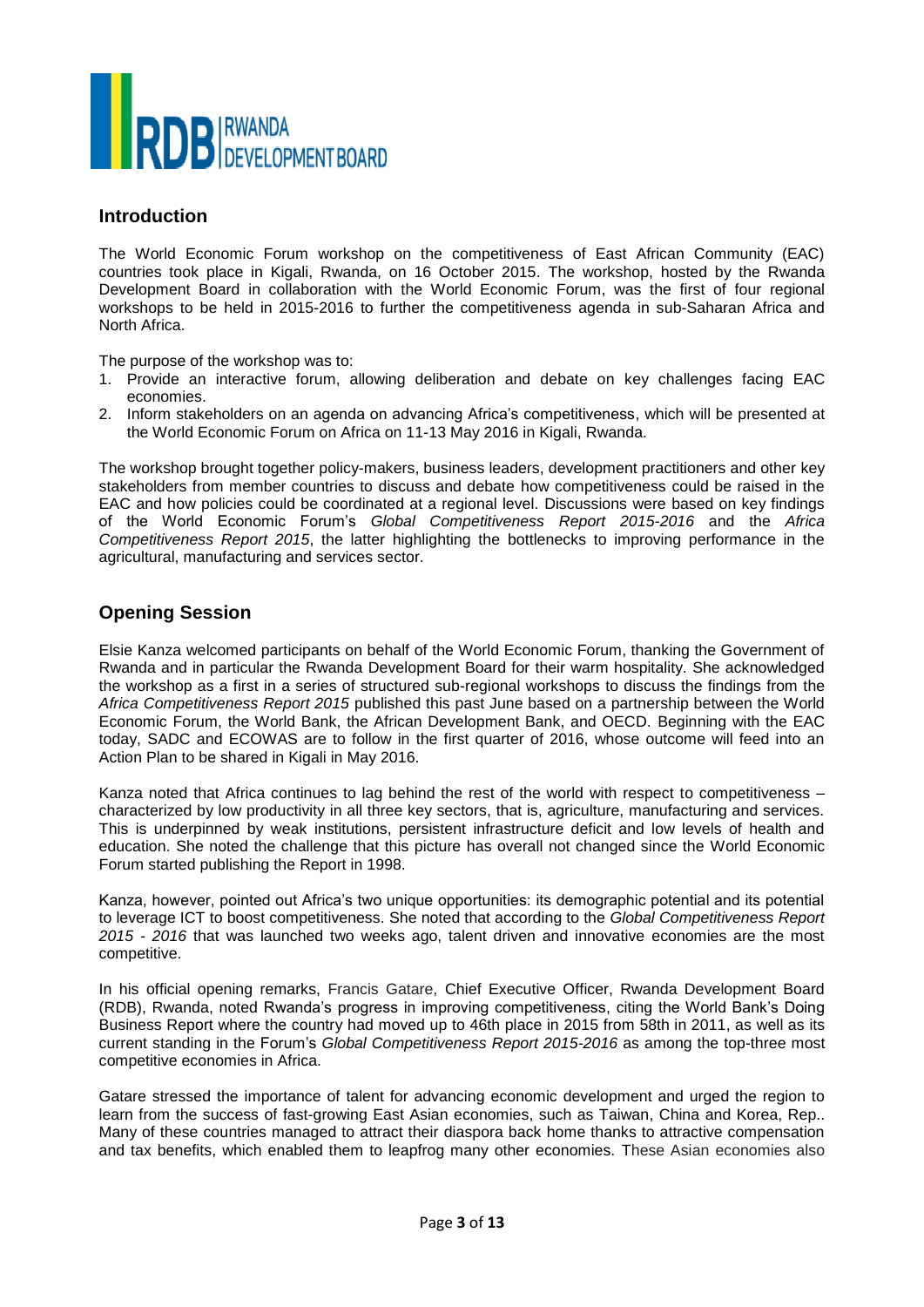

# **Introduction**

The World Economic Forum workshop on the competitiveness of East African Community (EAC) countries took place in Kigali, Rwanda, on 16 October 2015. The workshop, hosted by the Rwanda Development Board in collaboration with the World Economic Forum, was the first of four regional workshops to be held in 2015-2016 to further the competitiveness agenda in sub-Saharan Africa and North Africa.

The purpose of the workshop was to:

- 1. Provide an interactive forum, allowing deliberation and debate on key challenges facing EAC economies.
- 2. Inform stakeholders on an agenda on advancing Africa's competitiveness, which will be presented at the World Economic Forum on Africa on 11-13 May 2016 in Kigali, Rwanda.

The workshop brought together policy-makers, business leaders, development practitioners and other key stakeholders from member countries to discuss and debate how competitiveness could be raised in the EAC and how policies could be coordinated at a regional level. Discussions were based on key findings of the World Economic Forum's *Global Competitiveness Report 2015-2016* and the *Africa Competitiveness Report 2015*, the latter highlighting the bottlenecks to improving performance in the agricultural, manufacturing and services sector.

# **Opening Session**

Elsie Kanza welcomed participants on behalf of the World Economic Forum, thanking the Government of Rwanda and in particular the Rwanda Development Board for their warm hospitality. She acknowledged the workshop as a first in a series of structured sub-regional workshops to discuss the findings from the *Africa Competitiveness Report 2015* published this past June based on a partnership between the World Economic Forum, the World Bank, the African Development Bank, and OECD. Beginning with the EAC today, SADC and ECOWAS are to follow in the first quarter of 2016, whose outcome will feed into an Action Plan to be shared in Kigali in May 2016.

Kanza noted that Africa continues to lag behind the rest of the world with respect to competitiveness – characterized by low productivity in all three key sectors, that is, agriculture, manufacturing and services. This is underpinned by weak institutions, persistent infrastructure deficit and low levels of health and education. She noted the challenge that this picture has overall not changed since the World Economic Forum started publishing the Report in 1998.

Kanza, however, pointed out Africa's two unique opportunities: its demographic potential and its potential to leverage ICT to boost competitiveness. She noted that according to the *Global Competitiveness Report 2015 - 2016* that was launched two weeks ago, talent driven and innovative economies are the most competitive.

In his official opening remarks, Francis Gatare, Chief Executive Officer, Rwanda Development Board (RDB), Rwanda, noted Rwanda's progress in improving competitiveness, citing the World Bank's Doing Business Report where the country had moved up to 46th place in 2015 from 58th in 2011, as well as its current standing in the Forum's *Global Competitiveness Report 2015-2016* as among the top-three most competitive economies in Africa.

Gatare stressed the importance of talent for advancing economic development and urged the region to learn from the success of fast-growing East Asian economies, such as Taiwan, China and Korea, Rep.. Many of these countries managed to attract their diaspora back home thanks to attractive compensation and tax benefits, which enabled them to leapfrog many other economies. These Asian economies also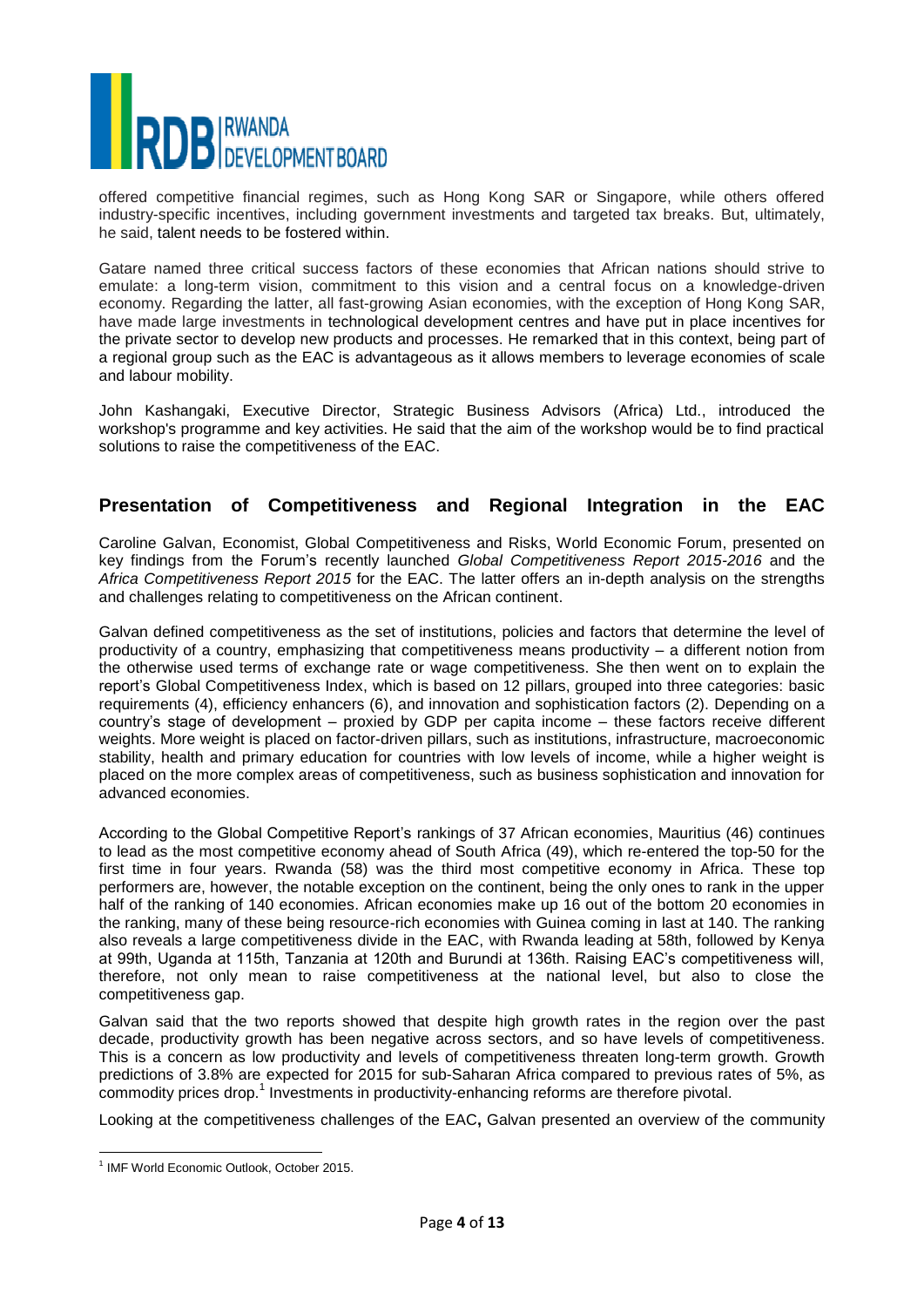

offered competitive financial regimes, such as Hong Kong SAR or Singapore, while others offered industry-specific incentives, including government investments and targeted tax breaks. But, ultimately, he said, talent needs to be fostered within.

Gatare named three critical success factors of these economies that African nations should strive to emulate: a long-term vision, commitment to this vision and a central focus on a knowledge-driven economy. Regarding the latter, all fast-growing Asian economies, with the exception of Hong Kong SAR, have made large investments in technological development centres and have put in place incentives for the private sector to develop new products and processes. He remarked that in this context, being part of a regional group such as the EAC is advantageous as it allows members to leverage economies of scale and labour mobility.

John Kashangaki, Executive Director, Strategic Business Advisors (Africa) Ltd., introduced the workshop's programme and key activities. He said that the aim of the workshop would be to find practical solutions to raise the competitiveness of the EAC.

# **Presentation of Competitiveness and Regional Integration in the EAC**

Caroline Galvan, Economist, Global Competitiveness and Risks, World Economic Forum, presented on key findings from the Forum's recently launched *Global Competitiveness Report 2015-2016* and the *Africa Competitiveness Report 2015* for the EAC. The latter offers an in-depth analysis on the strengths and challenges relating to competitiveness on the African continent.

Galvan defined competitiveness as the set of institutions, policies and factors that determine the level of productivity of a country, emphasizing that competitiveness means productivity – a different notion from the otherwise used terms of exchange rate or wage competitiveness. She then went on to explain the report's Global Competitiveness Index, which is based on 12 pillars, grouped into three categories: basic requirements (4), efficiency enhancers (6), and innovation and sophistication factors (2). Depending on a country's stage of development – proxied by GDP per capita income – these factors receive different weights. More weight is placed on factor-driven pillars, such as institutions, infrastructure, macroeconomic stability, health and primary education for countries with low levels of income, while a higher weight is placed on the more complex areas of competitiveness, such as business sophistication and innovation for advanced economies.

According to the Global Competitive Report's rankings of 37 African economies, Mauritius (46) continues to lead as the most competitive economy ahead of South Africa (49), which re-entered the top-50 for the first time in four years. Rwanda (58) was the third most competitive economy in Africa. These top performers are, however, the notable exception on the continent, being the only ones to rank in the upper half of the ranking of 140 economies. African economies make up 16 out of the bottom 20 economies in the ranking, many of these being resource-rich economies with Guinea coming in last at 140. The ranking also reveals a large competitiveness divide in the EAC, with Rwanda leading at 58th, followed by Kenya at 99th, Uganda at 115th, Tanzania at 120th and Burundi at 136th. Raising EAC's competitiveness will, therefore, not only mean to raise competitiveness at the national level, but also to close the competitiveness gap.

Galvan said that the two reports showed that despite high growth rates in the region over the past decade, productivity growth has been negative across sectors, and so have levels of competitiveness. This is a concern as low productivity and levels of competitiveness threaten long-term growth. Growth predictions of 3.8% are expected for 2015 for sub-Saharan Africa compared to previous rates of 5%, as .<br>commodity prices drop.<sup>1</sup> Investments in productivity-enhancing reforms are therefore pivotal.

Looking at the competitiveness challenges of the EAC**,** Galvan presented an overview of the community

 $\overline{\phantom{a}}$ 

<sup>1</sup> IMF World Economic Outlook, October 2015.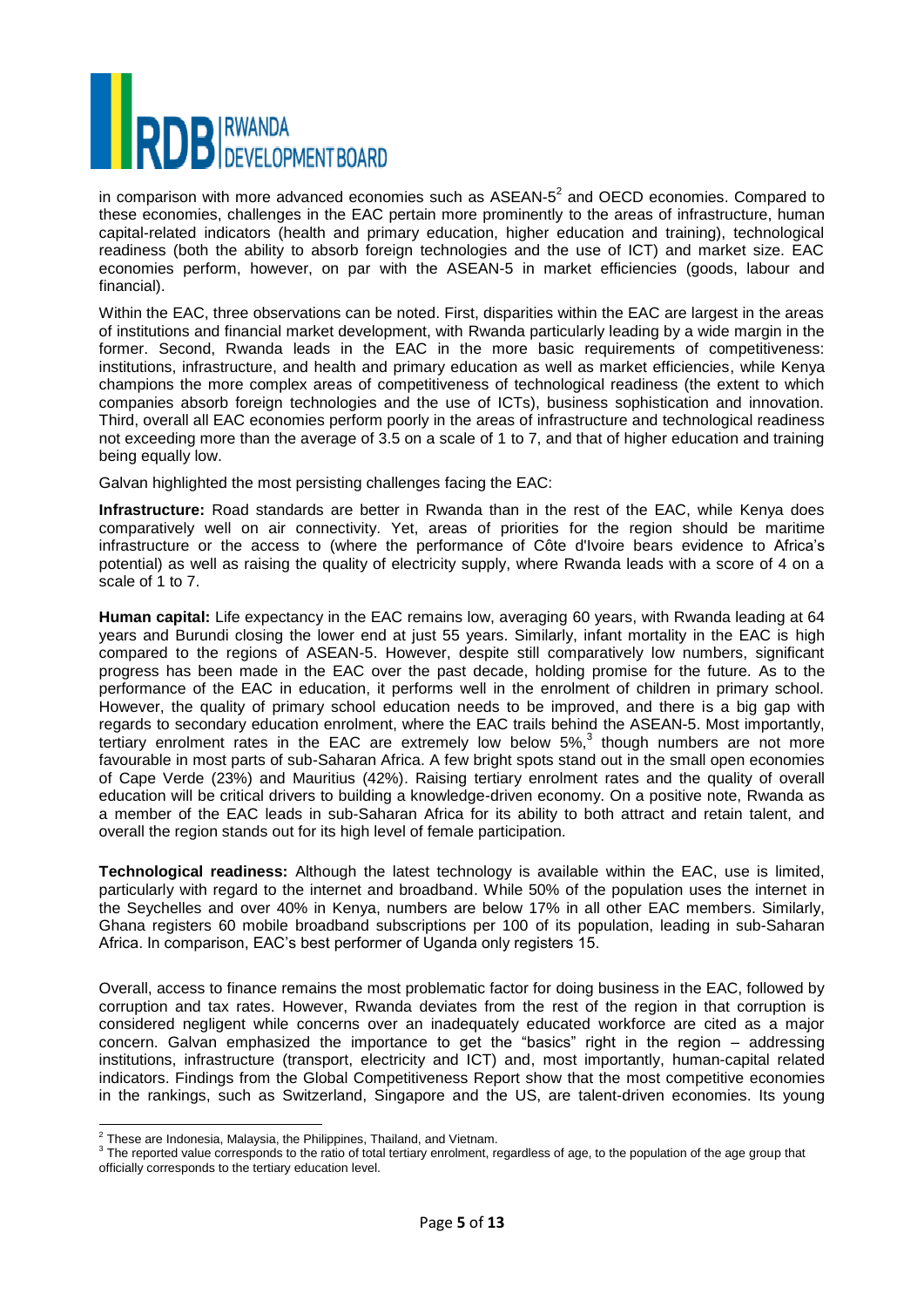

in comparison with more advanced economies such as ASEAN- $5^2$  and OECD economies. Compared to these economies, challenges in the EAC pertain more prominently to the areas of infrastructure, human capital-related indicators (health and primary education, higher education and training), technological readiness (both the ability to absorb foreign technologies and the use of ICT) and market size. EAC economies perform, however, on par with the ASEAN-5 in market efficiencies (goods, labour and financial).

Within the EAC, three observations can be noted. First, disparities within the EAC are largest in the areas of institutions and financial market development, with Rwanda particularly leading by a wide margin in the former. Second, Rwanda leads in the EAC in the more basic requirements of competitiveness: institutions, infrastructure, and health and primary education as well as market efficiencies, while Kenya champions the more complex areas of competitiveness of technological readiness (the extent to which companies absorb foreign technologies and the use of ICTs), business sophistication and innovation. Third, overall all EAC economies perform poorly in the areas of infrastructure and technological readiness not exceeding more than the average of 3.5 on a scale of 1 to 7, and that of higher education and training being equally low.

Galvan highlighted the most persisting challenges facing the EAC:

**Infrastructure:** Road standards are better in Rwanda than in the rest of the EAC, while Kenya does comparatively well on air connectivity. Yet, areas of priorities for the region should be maritime infrastructure or the access to (where the performance of Côte d'Ivoire bears evidence to Africa's potential) as well as raising the quality of electricity supply, where Rwanda leads with a score of 4 on a scale of 1 to 7.

**Human capital:** Life expectancy in the EAC remains low, averaging 60 years, with Rwanda leading at 64 years and Burundi closing the lower end at just 55 years. Similarly, infant mortality in the EAC is high compared to the regions of ASEAN-5. However, despite still comparatively low numbers, significant progress has been made in the EAC over the past decade, holding promise for the future. As to the performance of the EAC in education, it performs well in the enrolment of children in primary school. However, the quality of primary school education needs to be improved, and there is a big gap with regards to secondary education enrolment, where the EAC trails behind the ASEAN-5. Most importantly, tertiary enrolment rates in the EAC are extremely low below  $5\%$ , though numbers are not more favourable in most parts of sub-Saharan Africa. A few bright spots stand out in the small open economies of Cape Verde (23%) and Mauritius (42%). Raising tertiary enrolment rates and the quality of overall education will be critical drivers to building a knowledge-driven economy. On a positive note, Rwanda as a member of the EAC leads in sub-Saharan Africa for its ability to both attract and retain talent, and overall the region stands out for its high level of female participation.

**Technological readiness:** Although the latest technology is available within the EAC, use is limited, particularly with regard to the internet and broadband. While 50% of the population uses the internet in the Seychelles and over 40% in Kenya, numbers are below 17% in all other EAC members. Similarly, Ghana registers 60 mobile broadband subscriptions per 100 of its population, leading in sub-Saharan Africa. In comparison, EAC's best performer of Uganda only registers 15.

Overall, access to finance remains the most problematic factor for doing business in the EAC, followed by corruption and tax rates. However, Rwanda deviates from the rest of the region in that corruption is considered negligent while concerns over an inadequately educated workforce are cited as a major concern. Galvan emphasized the importance to get the "basics" right in the region – addressing institutions, infrastructure (transport, electricity and ICT) and, most importantly, human-capital related indicators. Findings from the Global Competitiveness Report show that the most competitive economies in the rankings, such as Switzerland, Singapore and the US, are talent-driven economies. Its young

 2 These are Indonesia, Malaysia, the Philippines, Thailand, and Vietnam.

 $3$  The reported value corresponds to the ratio of total tertiary enrolment, regardless of age, to the population of the age group that officially corresponds to the tertiary education level.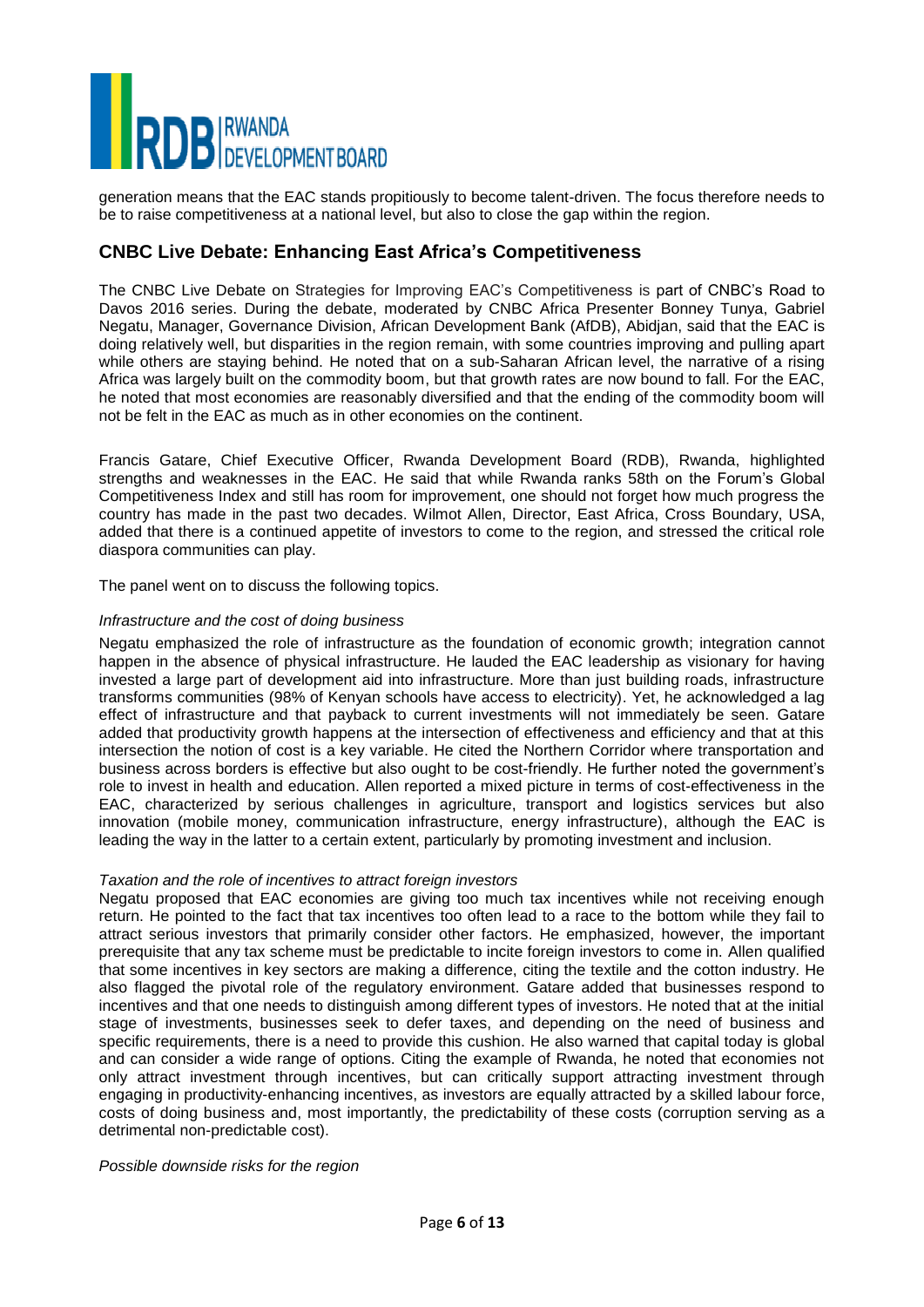

generation means that the EAC stands propitiously to become talent-driven. The focus therefore needs to be to raise competitiveness at a national level, but also to close the gap within the region.

# **CNBC Live Debate: Enhancing East Africa's Competitiveness**

The CNBC Live Debate on Strategies for Improving EAC's Competitiveness is part of CNBC's Road to Davos 2016 series. During the debate, moderated by CNBC Africa Presenter Bonney Tunya, Gabriel Negatu, Manager, Governance Division, African Development Bank (AfDB), Abidjan, said that the EAC is doing relatively well, but disparities in the region remain, with some countries improving and pulling apart while others are staying behind. He noted that on a sub-Saharan African level, the narrative of a rising Africa was largely built on the commodity boom, but that growth rates are now bound to fall. For the EAC, he noted that most economies are reasonably diversified and that the ending of the commodity boom will not be felt in the EAC as much as in other economies on the continent.

Francis Gatare, Chief Executive Officer, Rwanda Development Board (RDB), Rwanda, highlighted strengths and weaknesses in the EAC. He said that while Rwanda ranks 58th on the Forum's Global Competitiveness Index and still has room for improvement, one should not forget how much progress the country has made in the past two decades. Wilmot Allen, Director, East Africa, Cross Boundary, USA, added that there is a continued appetite of investors to come to the region, and stressed the critical role diaspora communities can play.

The panel went on to discuss the following topics.

#### *Infrastructure and the cost of doing business*

Negatu emphasized the role of infrastructure as the foundation of economic growth; integration cannot happen in the absence of physical infrastructure. He lauded the EAC leadership as visionary for having invested a large part of development aid into infrastructure. More than just building roads, infrastructure transforms communities (98% of Kenyan schools have access to electricity). Yet, he acknowledged a lag effect of infrastructure and that payback to current investments will not immediately be seen. Gatare added that productivity growth happens at the intersection of effectiveness and efficiency and that at this intersection the notion of cost is a key variable. He cited the Northern Corridor where transportation and business across borders is effective but also ought to be cost-friendly. He further noted the government's role to invest in health and education. Allen reported a mixed picture in terms of cost-effectiveness in the EAC, characterized by serious challenges in agriculture, transport and logistics services but also innovation (mobile money, communication infrastructure, energy infrastructure), although the EAC is leading the way in the latter to a certain extent, particularly by promoting investment and inclusion.

#### *Taxation and the role of incentives to attract foreign investors*

Negatu proposed that EAC economies are giving too much tax incentives while not receiving enough return. He pointed to the fact that tax incentives too often lead to a race to the bottom while they fail to attract serious investors that primarily consider other factors. He emphasized, however, the important prerequisite that any tax scheme must be predictable to incite foreign investors to come in. Allen qualified that some incentives in key sectors are making a difference, citing the textile and the cotton industry. He also flagged the pivotal role of the regulatory environment. Gatare added that businesses respond to incentives and that one needs to distinguish among different types of investors. He noted that at the initial stage of investments, businesses seek to defer taxes, and depending on the need of business and specific requirements, there is a need to provide this cushion. He also warned that capital today is global and can consider a wide range of options. Citing the example of Rwanda, he noted that economies not only attract investment through incentives, but can critically support attracting investment through engaging in productivity-enhancing incentives, as investors are equally attracted by a skilled labour force, costs of doing business and, most importantly, the predictability of these costs (corruption serving as a detrimental non-predictable cost).

#### *Possible downside risks for the region*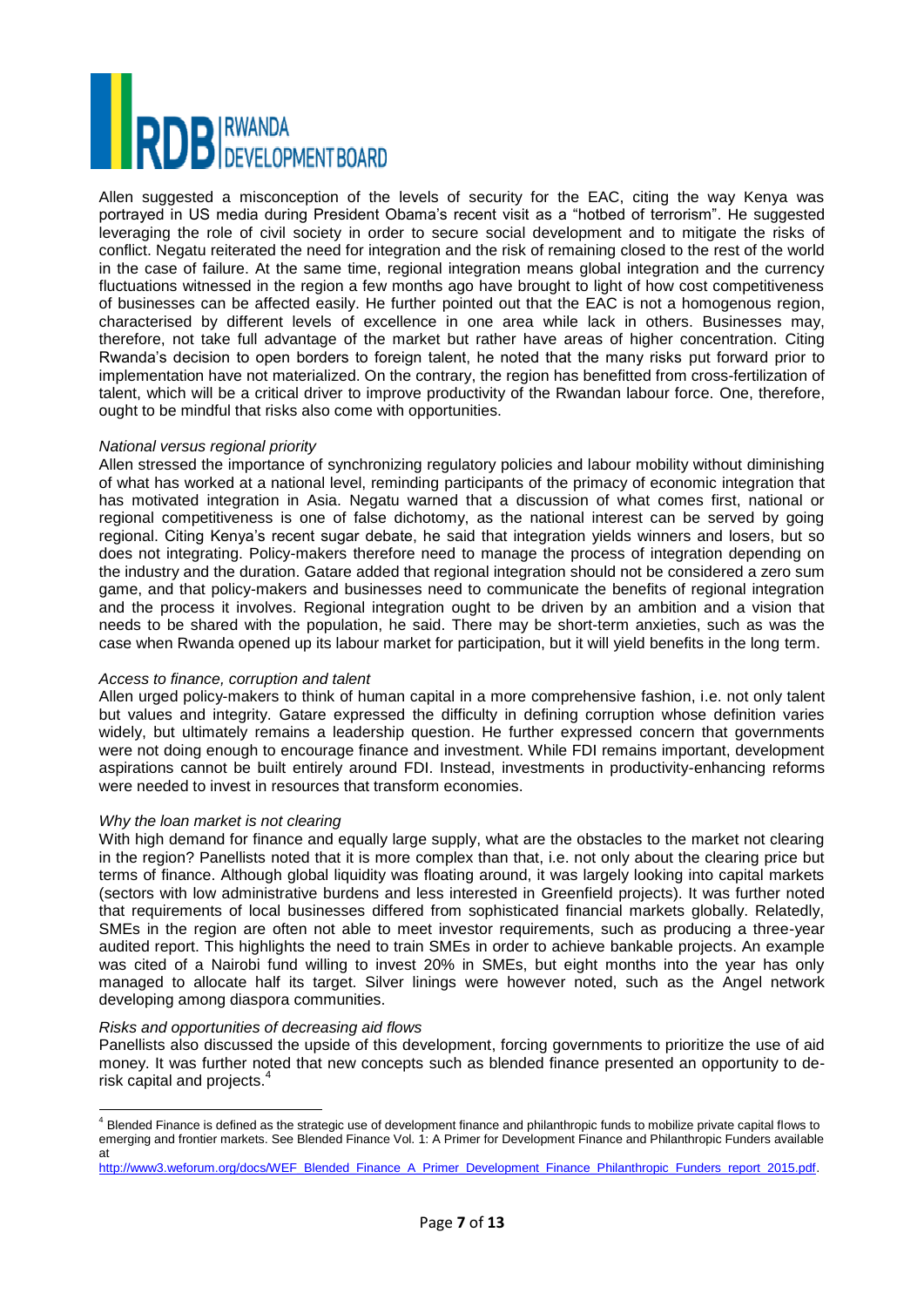# **DB** RWANDA<br> **DB** DEVELOPMENT BOARD

Allen suggested a misconception of the levels of security for the EAC, citing the way Kenya was portrayed in US media during President Obama's recent visit as a "hotbed of terrorism". He suggested leveraging the role of civil society in order to secure social development and to mitigate the risks of conflict. Negatu reiterated the need for integration and the risk of remaining closed to the rest of the world in the case of failure. At the same time, regional integration means global integration and the currency fluctuations witnessed in the region a few months ago have brought to light of how cost competitiveness of businesses can be affected easily. He further pointed out that the EAC is not a homogenous region, characterised by different levels of excellence in one area while lack in others. Businesses may, therefore, not take full advantage of the market but rather have areas of higher concentration. Citing Rwanda's decision to open borders to foreign talent, he noted that the many risks put forward prior to implementation have not materialized. On the contrary, the region has benefitted from cross-fertilization of talent, which will be a critical driver to improve productivity of the Rwandan labour force. One, therefore, ought to be mindful that risks also come with opportunities.

#### *National versus regional priority*

Allen stressed the importance of synchronizing regulatory policies and labour mobility without diminishing of what has worked at a national level, reminding participants of the primacy of economic integration that has motivated integration in Asia. Negatu warned that a discussion of what comes first, national or regional competitiveness is one of false dichotomy, as the national interest can be served by going regional. Citing Kenya's recent sugar debate, he said that integration yields winners and losers, but so does not integrating. Policy-makers therefore need to manage the process of integration depending on the industry and the duration. Gatare added that regional integration should not be considered a zero sum game, and that policy-makers and businesses need to communicate the benefits of regional integration and the process it involves. Regional integration ought to be driven by an ambition and a vision that needs to be shared with the population, he said. There may be short-term anxieties, such as was the case when Rwanda opened up its labour market for participation, but it will yield benefits in the long term.

#### *Access to finance, corruption and talent*

Allen urged policy-makers to think of human capital in a more comprehensive fashion, i.e. not only talent but values and integrity. Gatare expressed the difficulty in defining corruption whose definition varies widely, but ultimately remains a leadership question. He further expressed concern that governments were not doing enough to encourage finance and investment. While FDI remains important, development aspirations cannot be built entirely around FDI. Instead, investments in productivity-enhancing reforms were needed to invest in resources that transform economies.

#### *Why the loan market is not clearing*

With high demand for finance and equally large supply, what are the obstacles to the market not clearing in the region? Panellists noted that it is more complex than that, i.e. not only about the clearing price but terms of finance. Although global liquidity was floating around, it was largely looking into capital markets (sectors with low administrative burdens and less interested in Greenfield projects). It was further noted that requirements of local businesses differed from sophisticated financial markets globally. Relatedly, SMEs in the region are often not able to meet investor requirements, such as producing a three-year audited report. This highlights the need to train SMEs in order to achieve bankable projects. An example was cited of a Nairobi fund willing to invest 20% in SMEs, but eight months into the year has only managed to allocate half its target. Silver linings were however noted, such as the Angel network developing among diaspora communities.

#### *Risks and opportunities of decreasing aid flows*

Panellists also discussed the upside of this development, forcing governments to prioritize the use of aid money. It was further noted that new concepts such as blended finance presented an opportunity to derisk capital and projects.<sup>4</sup>

[http://www3.weforum.org/docs/WEF\\_Blended\\_Finance\\_A\\_Primer\\_Development\\_Finance\\_Philanthropic\\_Funders\\_report\\_2015.pdf.](http://www3.weforum.org/docs/WEF_Blended_Finance_A_Primer_Development_Finance_Philanthropic_Funders_report_2015.pdf)

l  $^4$  Blended Finance is defined as the strategic use of development finance and philanthropic funds to mobilize private capital flows to emerging and frontier markets. See Blended Finance Vol. 1: A Primer for Development Finance and Philanthropic Funders available at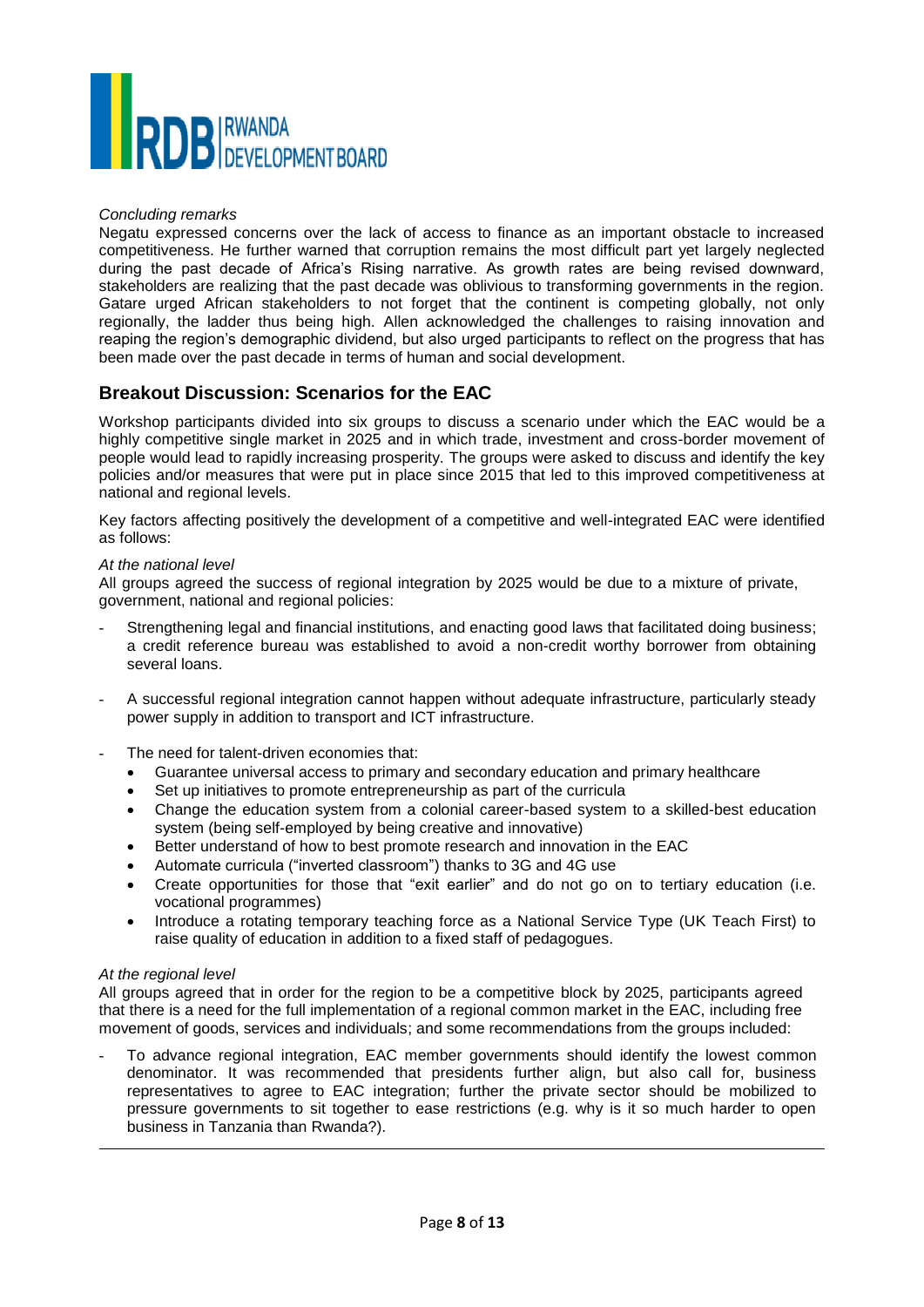

#### *Concluding remarks*

Negatu expressed concerns over the lack of access to finance as an important obstacle to increased competitiveness. He further warned that corruption remains the most difficult part yet largely neglected during the past decade of Africa's Rising narrative. As growth rates are being revised downward, stakeholders are realizing that the past decade was oblivious to transforming governments in the region. Gatare urged African stakeholders to not forget that the continent is competing globally, not only regionally, the ladder thus being high. Allen acknowledged the challenges to raising innovation and reaping the region's demographic dividend, but also urged participants to reflect on the progress that has been made over the past decade in terms of human and social development.

# **Breakout Discussion: Scenarios for the EAC**

Workshop participants divided into six groups to discuss a scenario under which the EAC would be a highly competitive single market in 2025 and in which trade, investment and cross-border movement of people would lead to rapidly increasing prosperity. The groups were asked to discuss and identify the key policies and/or measures that were put in place since 2015 that led to this improved competitiveness at national and regional levels.

Key factors affecting positively the development of a competitive and well-integrated EAC were identified as follows:

#### *At the national level*

All groups agreed the success of regional integration by 2025 would be due to a mixture of private, government, national and regional policies:

- Strengthening legal and financial institutions, and enacting good laws that facilitated doing business; a credit reference bureau was established to avoid a non-credit worthy borrower from obtaining several loans.
- A successful regional integration cannot happen without adequate infrastructure, particularly steady power supply in addition to transport and ICT infrastructure.
- The need for talent-driven economies that:
	- Guarantee universal access to primary and secondary education and primary healthcare
	- Set up initiatives to promote entrepreneurship as part of the curricula
	- Change the education system from a colonial career-based system to a skilled-best education system (being self-employed by being creative and innovative)
	- Better understand of how to best promote research and innovation in the EAC
	- Automate curricula ("inverted classroom") thanks to 3G and 4G use
	- Create opportunities for those that "exit earlier" and do not go on to tertiary education (i.e. vocational programmes)
	- Introduce a rotating temporary teaching force as a National Service Type (UK Teach First) to raise quality of education in addition to a fixed staff of pedagogues.

#### *At the regional level*

 $\overline{\phantom{a}}$ 

All groups agreed that in order for the region to be a competitive block by 2025, participants agreed that there is a need for the full implementation of a regional common market in the EAC, including free movement of goods, services and individuals; and some recommendations from the groups included:

- To advance regional integration, EAC member governments should identify the lowest common denominator. It was recommended that presidents further align, but also call for, business representatives to agree to EAC integration; further the private sector should be mobilized to pressure governments to sit together to ease restrictions (e.g. why is it so much harder to open business in Tanzania than Rwanda?).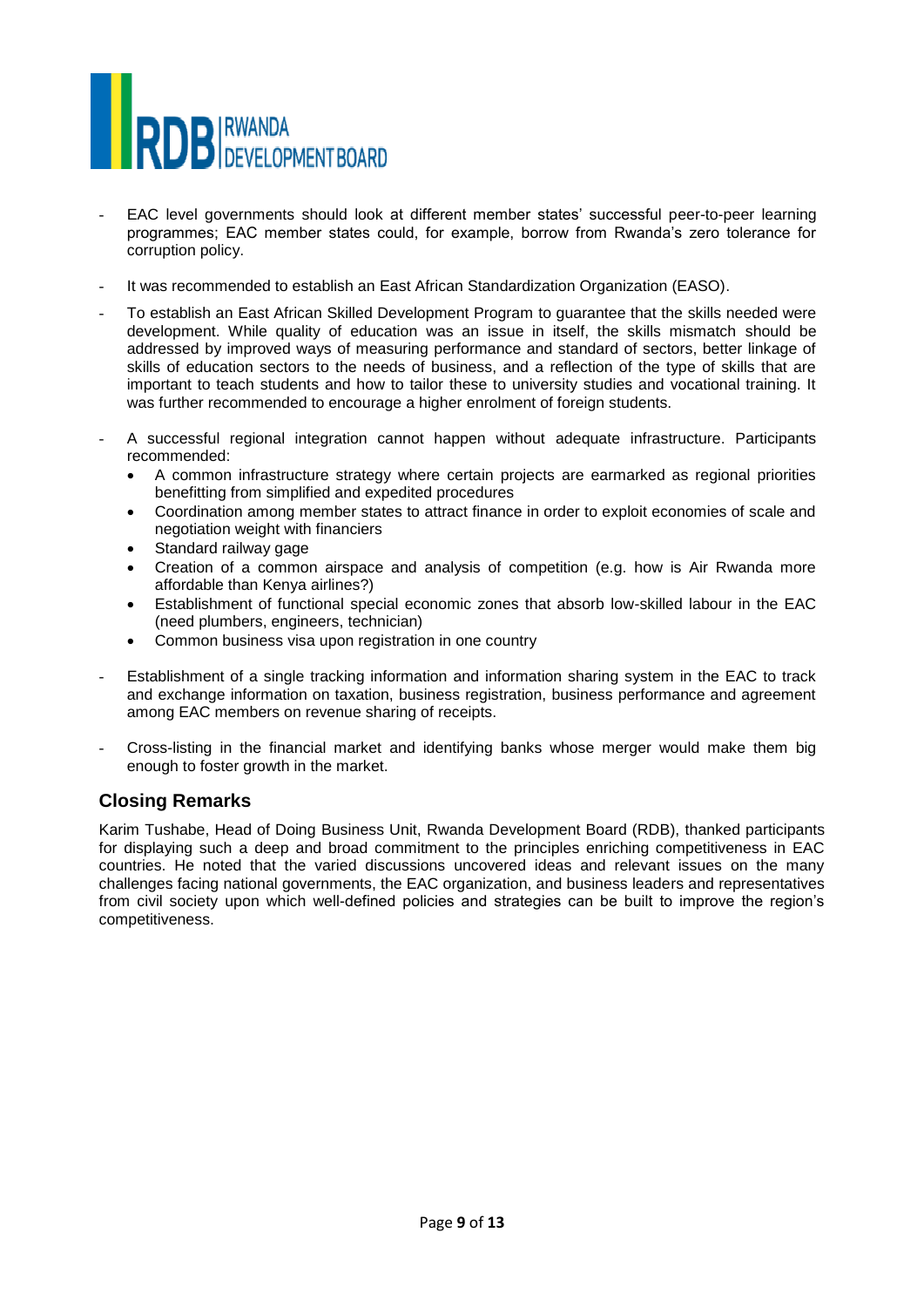

- EAC level governments should look at different member states' successful peer-to-peer learning programmes; EAC member states could, for example, borrow from Rwanda's zero tolerance for corruption policy.
- It was recommended to establish an East African Standardization Organization (EASO).
- To establish an East African Skilled Development Program to guarantee that the skills needed were development. While quality of education was an issue in itself, the skills mismatch should be addressed by improved ways of measuring performance and standard of sectors, better linkage of skills of education sectors to the needs of business, and a reflection of the type of skills that are important to teach students and how to tailor these to university studies and vocational training. It was further recommended to encourage a higher enrolment of foreign students.
- A successful regional integration cannot happen without adequate infrastructure. Participants recommended:
	- A common infrastructure strategy where certain projects are earmarked as regional priorities benefitting from simplified and expedited procedures
	- Coordination among member states to attract finance in order to exploit economies of scale and negotiation weight with financiers
	- Standard railway gage
	- Creation of a common airspace and analysis of competition (e.g. how is Air Rwanda more affordable than Kenya airlines?)
	- Establishment of functional special economic zones that absorb low-skilled labour in the EAC (need plumbers, engineers, technician)
	- Common business visa upon registration in one country
- Establishment of a single tracking information and information sharing system in the EAC to track and exchange information on taxation, business registration, business performance and agreement among EAC members on revenue sharing of receipts.
- Cross-listing in the financial market and identifying banks whose merger would make them big enough to foster growth in the market.

# **Closing Remarks**

Karim Tushabe, Head of Doing Business Unit, Rwanda Development Board (RDB), thanked participants for displaying such a deep and broad commitment to the principles enriching competitiveness in EAC countries. He noted that the varied discussions uncovered ideas and relevant issues on the many challenges facing national governments, the EAC organization, and business leaders and representatives from civil society upon which well-defined policies and strategies can be built to improve the region's competitiveness.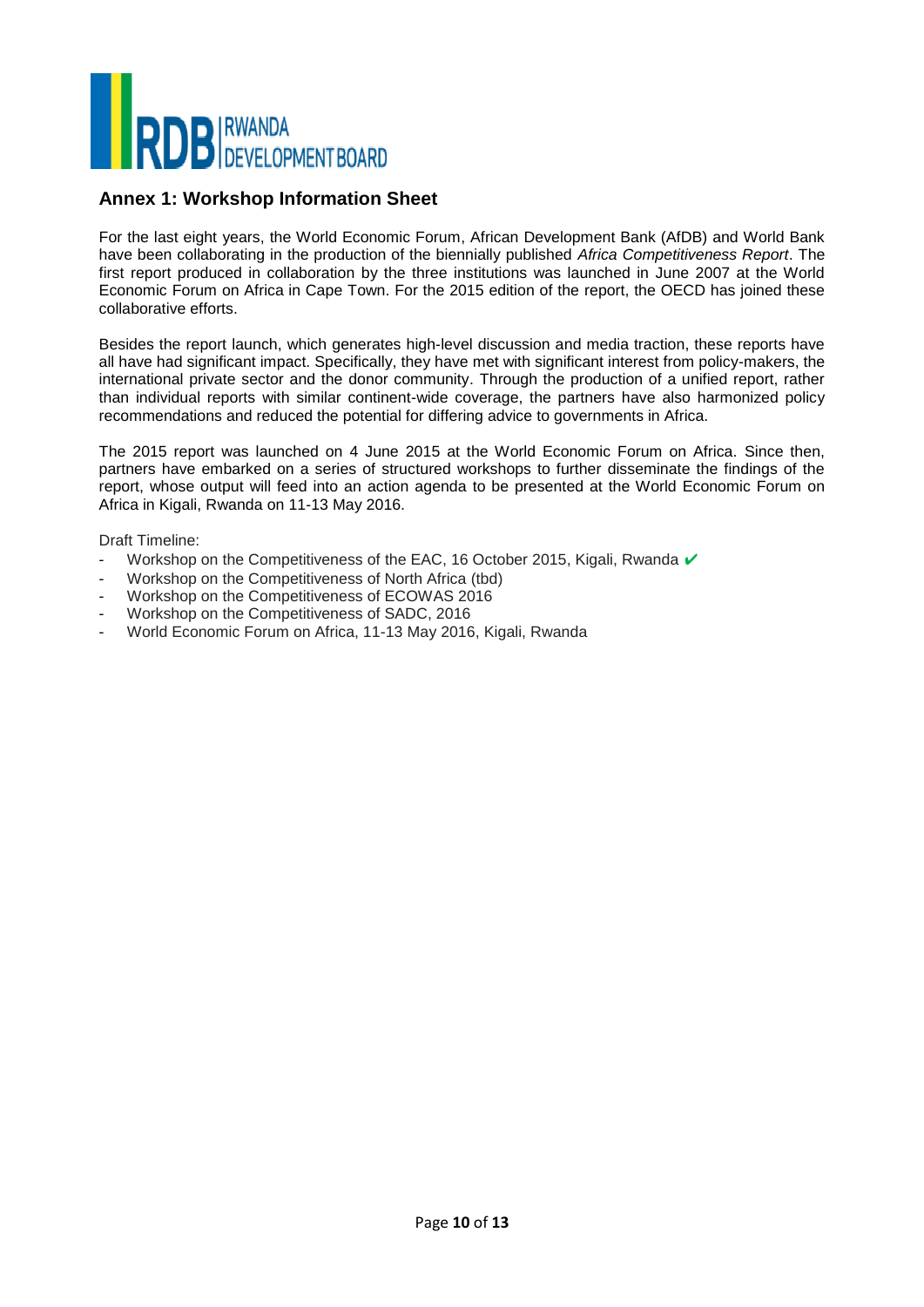

### **Annex 1: Workshop Information Sheet**

For the last eight years, the World Economic Forum, African Development Bank (AfDB) and World Bank have been collaborating in the production of the biennially published *Africa Competitiveness Report*. The first report produced in collaboration by the three institutions was launched in June 2007 at the World Economic Forum on Africa in Cape Town. For the 2015 edition of the report, the OECD has joined these collaborative efforts.

Besides the report launch, which generates high-level discussion and media traction, these reports have all have had significant impact. Specifically, they have met with significant interest from policy-makers, the international private sector and the donor community. Through the production of a unified report, rather than individual reports with similar continent-wide coverage, the partners have also harmonized policy recommendations and reduced the potential for differing advice to governments in Africa.

The 2015 report was launched on 4 June 2015 at the World Economic Forum on Africa. Since then, partners have embarked on a series of structured workshops to further disseminate the findings of the report, whose output will feed into an action agenda to be presented at the World Economic Forum on Africa in Kigali, Rwanda on 11-13 May 2016.

Draft Timeline:

- Workshop on the Competitiveness of the EAC, 16 October 2015, Kigali, Rwanda ✔
- Workshop on the Competitiveness of North Africa (tbd)
- Workshop on the Competitiveness of ECOWAS 2016
- Workshop on the Competitiveness of SADC, 2016
- World Economic Forum on Africa, 11-13 May 2016, Kigali, Rwanda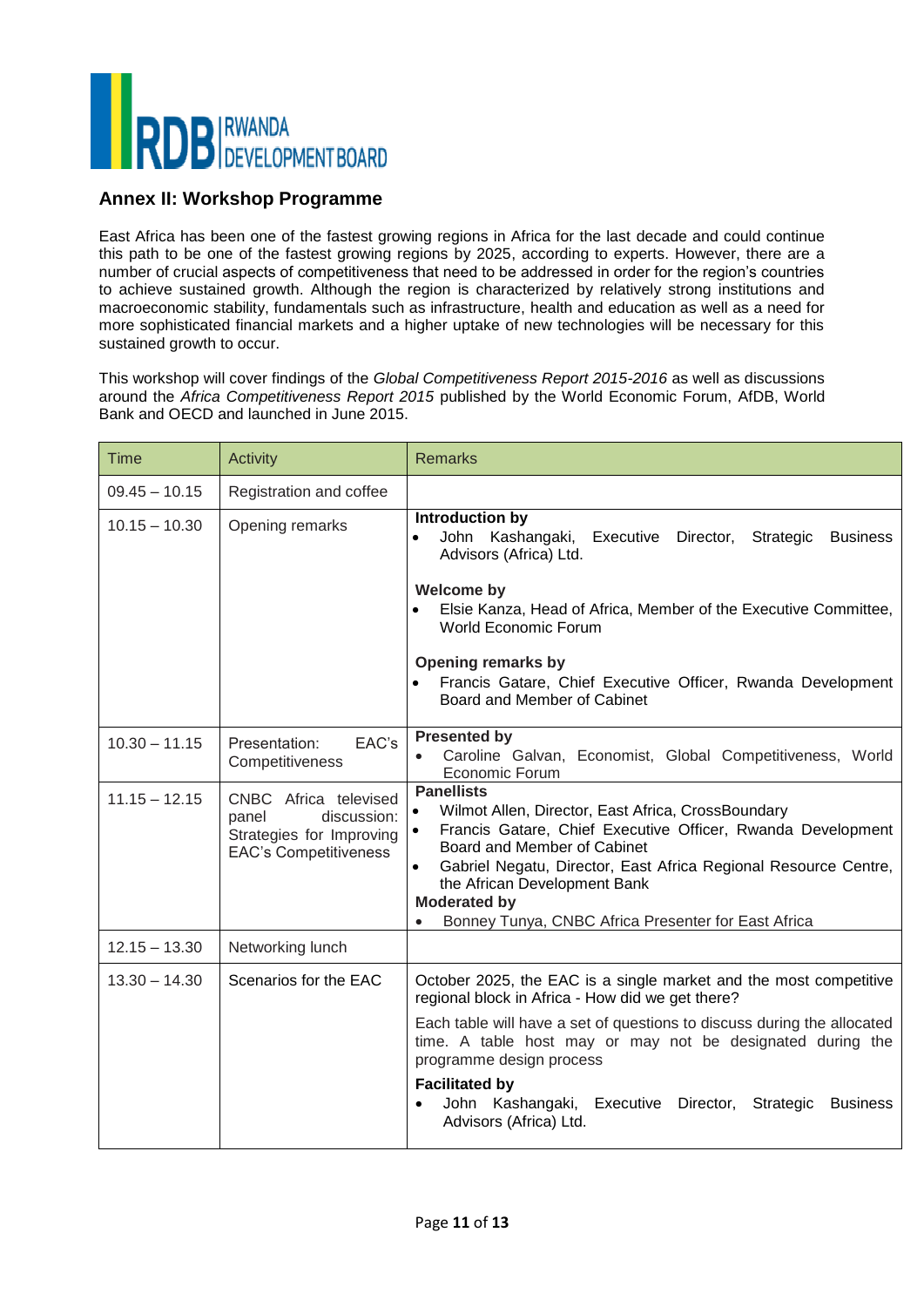

# **Annex II: Workshop Programme**

East Africa has been one of the fastest growing regions in Africa for the last decade and could continue this path to be one of the fastest growing regions by 2025, according to experts. However, there are a number of crucial aspects of competitiveness that need to be addressed in order for the region's countries to achieve sustained growth. Although the region is characterized by relatively strong institutions and macroeconomic stability, fundamentals such as infrastructure, health and education as well as a need for more sophisticated financial markets and a higher uptake of new technologies will be necessary for this sustained growth to occur.

This workshop will cover findings of the *Global Competitiveness Report 2015-2016* as well as discussions around the *Africa Competitiveness Report 2015* published by the World Economic Forum, AfDB, World Bank and OECD and launched in June 2015.

| <b>Time</b>     | <b>Activity</b>                                                                                           | <b>Remarks</b>                                                                                                                                                                                                                                                                                                                                         |
|-----------------|-----------------------------------------------------------------------------------------------------------|--------------------------------------------------------------------------------------------------------------------------------------------------------------------------------------------------------------------------------------------------------------------------------------------------------------------------------------------------------|
| $09.45 - 10.15$ | Registration and coffee                                                                                   |                                                                                                                                                                                                                                                                                                                                                        |
| $10.15 - 10.30$ | Opening remarks                                                                                           | Introduction by<br>John Kashangaki, Executive<br>Director,<br>Strategic<br><b>Business</b><br>Advisors (Africa) Ltd.<br><b>Welcome by</b>                                                                                                                                                                                                              |
|                 |                                                                                                           | Elsie Kanza, Head of Africa, Member of the Executive Committee,<br><b>World Economic Forum</b>                                                                                                                                                                                                                                                         |
|                 |                                                                                                           | Opening remarks by<br>Francis Gatare, Chief Executive Officer, Rwanda Development<br>Board and Member of Cabinet                                                                                                                                                                                                                                       |
| $10.30 - 11.15$ | EAC's<br>Presentation:<br>Competitiveness                                                                 | <b>Presented by</b><br>Caroline Galvan, Economist, Global Competitiveness, World<br>Economic Forum                                                                                                                                                                                                                                                     |
| $11.15 - 12.15$ | CNBC Africa televised<br>discussion:<br>panel<br>Strategies for Improving<br><b>EAC's Competitiveness</b> | <b>Panellists</b><br>Wilmot Allen, Director, East Africa, CrossBoundary<br>Francis Gatare, Chief Executive Officer, Rwanda Development<br>Board and Member of Cabinet<br>Gabriel Negatu, Director, East Africa Regional Resource Centre,<br>the African Development Bank<br><b>Moderated by</b><br>Bonney Tunya, CNBC Africa Presenter for East Africa |
| $12.15 - 13.30$ | Networking lunch                                                                                          |                                                                                                                                                                                                                                                                                                                                                        |
| $13.30 - 14.30$ | Scenarios for the EAC                                                                                     | October 2025, the EAC is a single market and the most competitive<br>regional block in Africa - How did we get there?                                                                                                                                                                                                                                  |
|                 |                                                                                                           | Each table will have a set of questions to discuss during the allocated<br>time. A table host may or may not be designated during the<br>programme design process                                                                                                                                                                                      |
|                 |                                                                                                           | <b>Facilitated by</b><br>John Kashangaki, Executive Director, Strategic Business<br>$\bullet$<br>Advisors (Africa) Ltd.                                                                                                                                                                                                                                |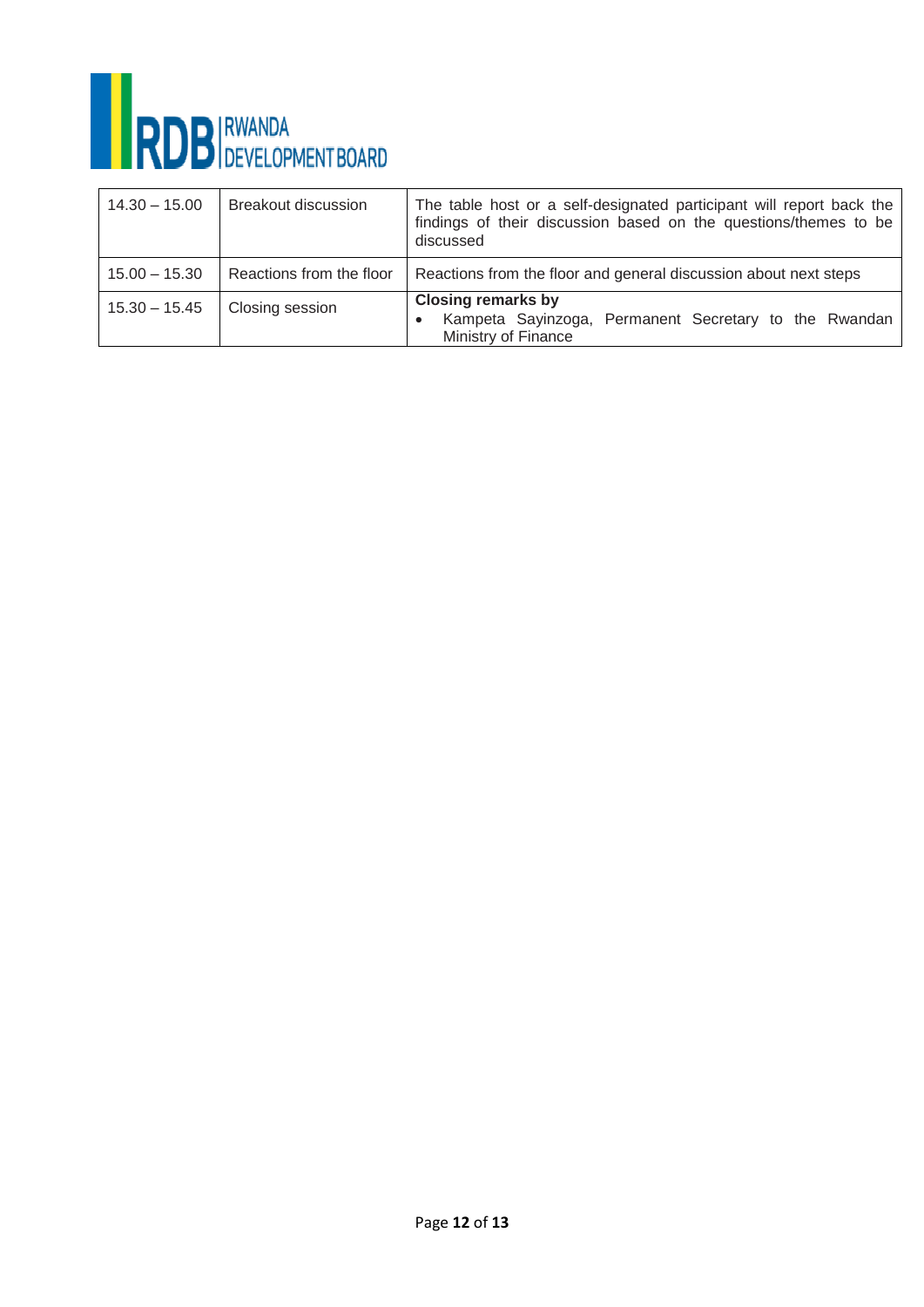

| $14.30 - 15.00$ | <b>Breakout discussion</b> | The table host or a self-designated participant will report back the<br>findings of their discussion based on the questions/themes to be<br>discussed |
|-----------------|----------------------------|-------------------------------------------------------------------------------------------------------------------------------------------------------|
| $15.00 - 15.30$ | Reactions from the floor   | Reactions from the floor and general discussion about next steps                                                                                      |
| $15.30 - 15.45$ | Closing session            | <b>Closing remarks by</b><br>Kampeta Sayinzoga, Permanent Secretary to the Rwandan<br>$\bullet$<br>Ministry of Finance                                |